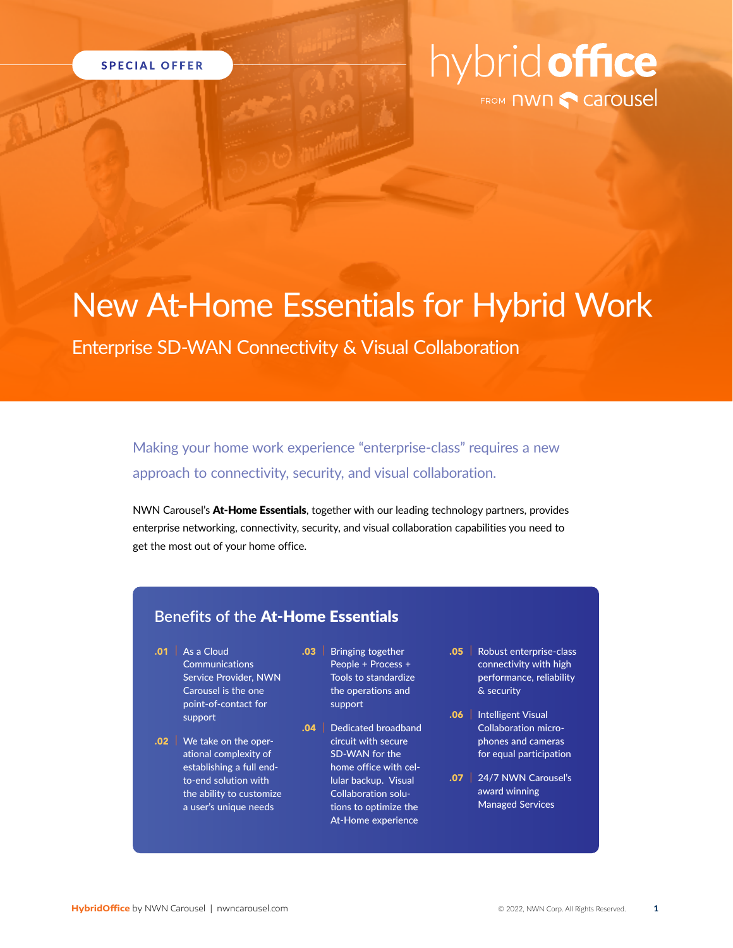

# hybrid office

## New At-Home Essentials for Hybrid Work

Enterprise SD-WAN Connectivity & Visual Collaboration

Making your home work experience "enterprise-class" requires a new approach to connectivity, security, and visual collaboration.

NWN Carousel's **At-Home Essentials**, together with our leading technology partners, provides enterprise networking, connectivity, security, and visual collaboration capabilities you need to get the most out of your home office.

#### **Benefits of the At-Home Essentials**

- $.01$  | As a Cloud **Communications** Service Provider, NWN Carousel is the one point-of-contact for support
- .02 | We take on the operational complexity of establishing a full endto-end solution with the ability to customize a user's unique needs
- .03 | Bringing together People + Process + Tools to standardize the operations and support
- .04 | Dedicated broadband circuit with secure SD-WAN for the home office with cellular backup. Visual Collaboration solutions to optimize the At-Home experience
- .05 | Robust enterprise-class connectivity with high performance, reliability & security
- .06 | Intelligent Visual Collaboration microphones and cameras for equal participation
- .07 | 24/7 NWN Carousel's award winning Managed Services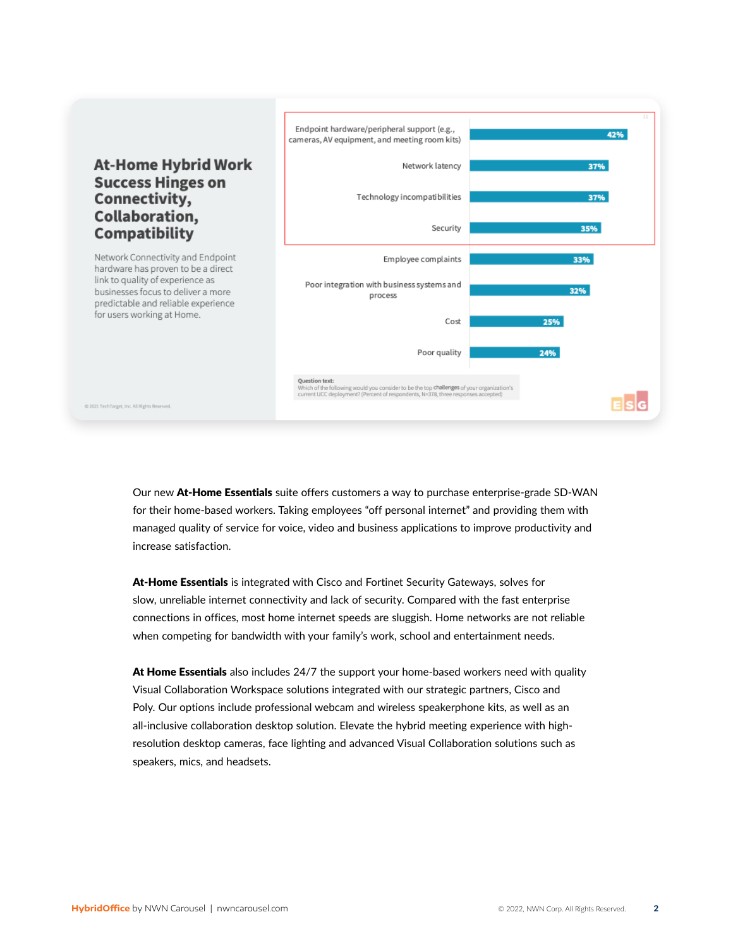#### **At-Home Hybrid Work Success Hinges on** Connectivity, Collaboration, **Compatibility**

Network Connectivity and Endpoint hardware has proven to be a direct link to quality of experience as businesses focus to deliver a more predictable and reliable experience for users working at Home.

@ 2021 TechTarget, Inc. All Rights Reserved



Our new **At-Home Essentials** suite offers customers a way to purchase enterprise-grade SD-WAN for their home-based workers. Taking employees "off personal internet" and providing them with managed quality of service for voice, video and business applications to improve productivity and increase satisfaction.

**At-Home Essentials** is integrated with Cisco and Fortinet Security Gateways, solves for slow, unreliable internet connectivity and lack of security. Compared with the fast enterprise connections in offices, most home internet speeds are sluggish. Home networks are not reliable when competing for bandwidth with your family's work, school and entertainment needs.

**At Home Essentials** also includes 24/7 the support your home-based workers need with quality Visual Collaboration Workspace solutions integrated with our strategic partners, Cisco and Poly. Our options include professional webcam and wireless speakerphone kits, as well as an all-inclusive collaboration desktop solution. Elevate the hybrid meeting experience with highresolution desktop cameras, face lighting and advanced Visual Collaboration solutions such as speakers, mics, and headsets.